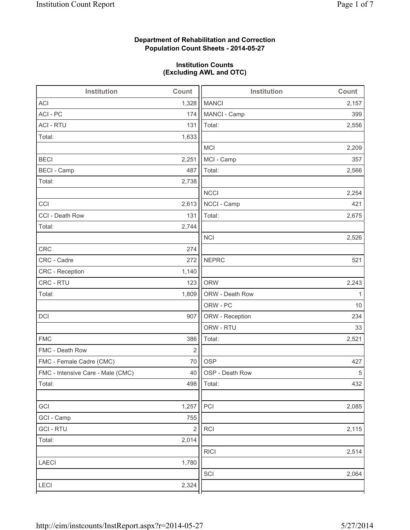## **Department of Rehabilitation and Correction Population Count Sheets - 2014-05-27**

## **Institution Counts (Excluding AWL and OTC)**

| Institution                       | Count      | <b>Institution</b> | Count |
|-----------------------------------|------------|--------------------|-------|
| <b>ACI</b>                        | 1,328      | <b>MANCI</b>       | 2,157 |
| ACI - PC                          | 174        | MANCI - Camp       | 399   |
| <b>ACI - RTU</b>                  | 131        | Total:             | 2,556 |
| Total:                            | 1,633      |                    |       |
|                                   |            | <b>MCI</b>         | 2,209 |
| <b>BECI</b>                       | 2,251      | MCI - Camp         | 357   |
| <b>BECI - Camp</b>                | 487        | Total:             | 2,566 |
| Total:                            | 2,738      |                    |       |
|                                   |            | <b>NCCI</b>        | 2,254 |
| CCI                               | 2,613      | NCCI - Camp        | 421   |
| CCI - Death Row                   | 131        | Total:             | 2,675 |
| Total:                            | 2,744      |                    |       |
|                                   |            | <b>NCI</b>         | 2,526 |
| <b>CRC</b>                        | 274        |                    |       |
| CRC - Cadre                       | 272        | <b>NEPRC</b>       | 521   |
| CRC - Reception                   | 1,140      |                    |       |
| CRC - RTU                         | 123        | <b>ORW</b>         | 2,243 |
| Total:                            | 1,809      | ORW - Death Row    | 1     |
|                                   |            | ORW - PC           | 10    |
| DCI                               | 907        | ORW - Reception    | 234   |
|                                   |            | ORW - RTU          | 33    |
| <b>FMC</b>                        | 386        | Total:             | 2,521 |
| FMC - Death Row                   | $\sqrt{2}$ |                    |       |
| FMC - Female Cadre (CMC)          | 70         | <b>OSP</b>         | 427   |
| FMC - Intensive Care - Male (CMC) | 40         | OSP - Death Row    | 5     |
| Total:                            |            | 498   Total:       | 432   |
|                                   |            |                    |       |
| GCI                               | 1,257      | PCI                | 2,085 |
| GCI - Camp                        | 755        |                    |       |
| <b>GCI-RTU</b>                    | $\sqrt{2}$ | RCI                | 2,115 |
| Total:                            | 2,014      |                    |       |
|                                   |            | <b>RICI</b>        | 2,514 |
| LAECI                             | 1,780      |                    |       |
|                                   |            | SCI                | 2,064 |
| LECI                              | 2,324      |                    |       |
|                                   |            |                    |       |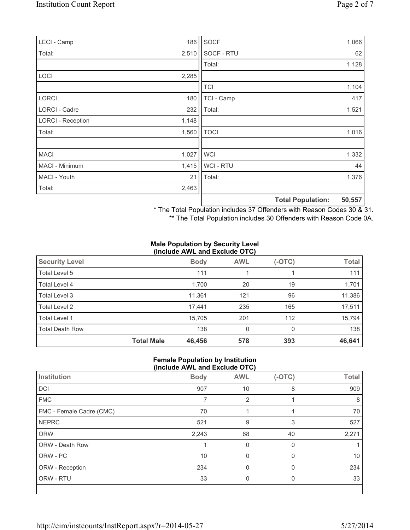| LECI - Camp              | 186   | SOCF           |                          | 1,066  |
|--------------------------|-------|----------------|--------------------------|--------|
| Total:                   | 2,510 | SOCF - RTU     |                          | 62     |
|                          |       | Total:         |                          | 1,128  |
| LOCI                     | 2,285 |                |                          |        |
|                          |       | <b>TCI</b>     |                          | 1,104  |
| <b>LORCI</b>             | 180   | TCI - Camp     |                          | 417    |
| LORCI - Cadre            | 232   | Total:         |                          | 1,521  |
| <b>LORCI - Reception</b> | 1,148 |                |                          |        |
| Total:                   | 1,560 | <b>TOCI</b>    |                          | 1,016  |
|                          |       |                |                          |        |
| <b>MACI</b>              | 1,027 | <b>WCI</b>     |                          | 1,332  |
| MACI - Minimum           | 1,415 | <b>WCI-RTU</b> |                          | 44     |
| MACI - Youth             | 21    | Total:         |                          | 1,376  |
| Total:                   | 2,463 |                |                          |        |
|                          |       |                | <b>Total Population:</b> | 50,557 |

\* The Total Population includes 37 Offenders with Reason Codes 30 & 31.

\*\* The Total Population includes 30 Offenders with Reason Code 0A.

#### **Male Population by Security Level (Include AWL and Exclude OTC)**

| <b>Security Level</b>  |                   | <b>Body</b> | <b>AWL</b> | $(-OTC)$ | <b>Total</b> |
|------------------------|-------------------|-------------|------------|----------|--------------|
| Total Level 5          |                   | 111         |            |          | 111          |
| Total Level 4          |                   | 1,700       | 20         | 19       | 1,701        |
| Total Level 3          |                   | 11,361      | 121        | 96       | 11,386       |
| Total Level 2          |                   | 17,441      | 235        | 165      | 17,511       |
| Total Level 1          |                   | 15.705      | 201        | 112      | 15,794       |
| <b>Total Death Row</b> |                   | 138         | 0          | $\Omega$ | 138          |
|                        | <b>Total Male</b> | 46,456      | 578        | 393      | 46,641       |

### **Female Population by Institution (Include AWL and Exclude OTC)**

| $(110100 \text{ A})$     |             |            |          |              |  |
|--------------------------|-------------|------------|----------|--------------|--|
| Institution              | <b>Body</b> | <b>AWL</b> | $(-OTC)$ | <b>Total</b> |  |
| DCI                      | 907         | 10         | 8        | 909          |  |
| <b>FMC</b>               | 7           | 2          |          | 8            |  |
| FMC - Female Cadre (CMC) | 70          |            |          | 70           |  |
| <b>NEPRC</b>             | 521         | 9          | 3        | 527          |  |
| <b>ORW</b>               | 2,243       | 68         | 40       | 2,271        |  |
| ORW - Death Row          |             | 0          | 0        |              |  |
| ORW - PC                 | 10          | $\Omega$   | $\Omega$ | 10           |  |
| ORW - Reception          | 234         | 0          | $\Omega$ | 234          |  |
| ORW - RTU                | 33          | 0          | 0        | 33           |  |
|                          |             |            |          |              |  |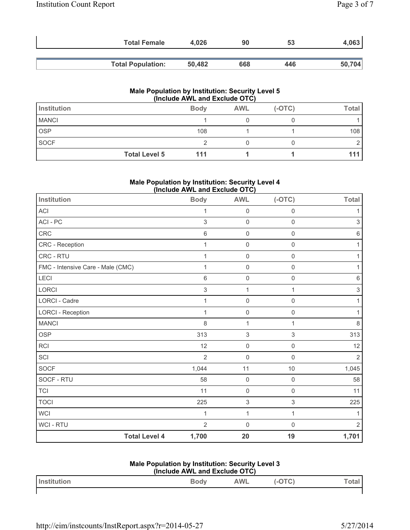| <b>Total Female</b>      | 4.026  | 90  | 53  | 4,063  |
|--------------------------|--------|-----|-----|--------|
|                          |        |     |     |        |
| <b>Total Population:</b> | 50.482 | 668 | 446 | 50,704 |

### **Male Population by Institution: Security Level 5 (Include AWL and Exclude OTC)**

| Institution  |                      | <b>Body</b> | <b>AWL</b> | $(-OTC)$ | <b>Total</b> |
|--------------|----------------------|-------------|------------|----------|--------------|
| <b>MANCI</b> |                      |             |            |          |              |
| <b>OSP</b>   |                      | 108         |            |          | 108          |
| SOCF         |                      |             |            |          |              |
|              | <b>Total Level 5</b> | 111         |            |          |              |

### **Male Population by Institution: Security Level 4 (Include AWL and Exclude OTC)**

| Institution                       | <b>Body</b>    | <b>AWL</b>                | $(-OTC)$            | <b>Total</b>   |
|-----------------------------------|----------------|---------------------------|---------------------|----------------|
| ACI                               | $\mathbf{1}$   | $\mathsf 0$               | $\mathbf 0$         | 1              |
| ACI - PC                          | 3              | $\mathsf{O}\xspace$       | $\mathbf 0$         | 3              |
| CRC                               | 6              | $\mathsf{O}\xspace$       | $\mathbf 0$         | 6              |
| CRC - Reception                   | $\mathbf 1$    | $\mathsf{O}\xspace$       | $\mathbf 0$         | 1              |
| CRC - RTU                         | 1              | $\mathsf{O}\xspace$       | $\mathbf 0$         |                |
| FMC - Intensive Care - Male (CMC) | $\mathbf{1}$   | $\mathsf{O}\xspace$       | $\mathbf 0$         |                |
| LECI                              | 6              | $\mathsf{O}\xspace$       | $\mathbf 0$         | 6              |
| <b>LORCI</b>                      | 3              | 1                         | 1                   | 3              |
| <b>LORCI - Cadre</b>              | $\mathbf{1}$   | $\mathsf{O}\xspace$       | $\mathbf 0$         |                |
| <b>LORCI - Reception</b>          | 1              | $\mathsf{O}\xspace$       | $\mathsf{O}\xspace$ | 1              |
| <b>MANCI</b>                      | 8              | 1                         | 1                   | 8              |
| <b>OSP</b>                        | 313            | $\,$ 3 $\,$               | $\mathfrak{Z}$      | 313            |
| <b>RCI</b>                        | 12             | $\mathsf{O}\xspace$       | $\mathsf{O}\xspace$ | 12             |
| SCI                               | $\overline{2}$ | $\mathsf{O}\xspace$       | $\overline{0}$      | $\overline{2}$ |
| <b>SOCF</b>                       | 1,044          | 11                        | 10                  | 1,045          |
| SOCF - RTU                        | 58             | $\mathbf 0$               | $\mathbf 0$         | 58             |
| TCI                               | 11             | $\mathsf{O}\xspace$       | $\mathbf 0$         | 11             |
| <b>TOCI</b>                       | 225            | $\ensuremath{\mathsf{3}}$ | $\,$ 3 $\,$         | 225            |
| <b>WCI</b>                        | $\mathbf{1}$   | 1                         | $\mathbf{1}$        | 1              |
| WCI - RTU                         | $\overline{2}$ | $\mathbf 0$               | $\mathbf 0$         | $\overline{2}$ |
| <b>Total Level 4</b>              | 1,700          | 20                        | 19                  | 1,701          |

## **Male Population by Institution: Security Level 3**

| (Include AWL and Exclude OTC) |             |     |        |      |
|-------------------------------|-------------|-----|--------|------|
| <b>Institution</b>            | <b>Body</b> | AWL | (-OTC) | otal |
|                               |             |     |        |      |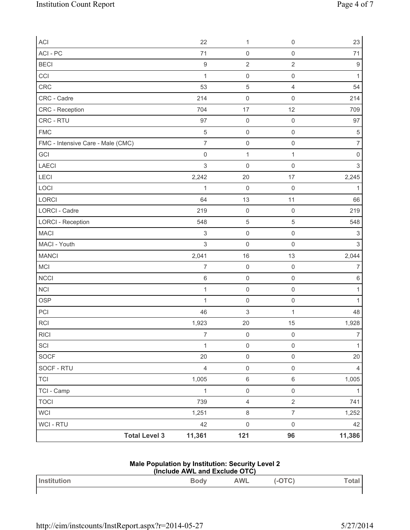| ACI                               | 22                        | $\mathbf{1}$        | $\mathbf 0$         | 23             |
|-----------------------------------|---------------------------|---------------------|---------------------|----------------|
| ACI - PC                          | 71                        | $\mathsf{O}\xspace$ | $\mathsf{O}\xspace$ | 71             |
| <b>BECI</b>                       | $\boldsymbol{9}$          | $\sqrt{2}$          | $\sqrt{2}$          | 9              |
| CCI                               | 1                         | $\mathsf{O}\xspace$ | $\mathsf{O}\xspace$ | $\mathbf{1}$   |
| CRC                               | 53                        | $\sqrt{5}$          | $\overline{4}$      | 54             |
| CRC - Cadre                       | 214                       | $\mathsf{O}\xspace$ | $\mathsf{O}\xspace$ | 214            |
| CRC - Reception                   | 704                       | 17                  | 12                  | 709            |
| CRC - RTU                         | 97                        | $\mathsf{O}\xspace$ | $\mathsf{O}\xspace$ | 97             |
| <b>FMC</b>                        | $\sqrt{5}$                | $\mathsf{O}\xspace$ | $\mathsf{O}\xspace$ | $\sqrt{5}$     |
| FMC - Intensive Care - Male (CMC) | $\overline{7}$            | $\mathsf{O}\xspace$ | $\mathsf{O}\xspace$ | $\overline{7}$ |
| GCI                               | $\mathsf 0$               | $\mathbf{1}$        | 1                   | 0              |
| LAECI                             | $\sqrt{3}$                | $\mathsf{O}\xspace$ | $\mathbf 0$         | $\,$ 3 $\,$    |
| LECI                              | 2,242                     | 20                  | 17                  | 2,245          |
| LOCI                              | 1                         | $\mathsf{O}\xspace$ | $\mathsf{O}\xspace$ | 1              |
| LORCI                             | 64                        | 13                  | 11                  | 66             |
| <b>LORCI - Cadre</b>              | 219                       | $\mathsf{O}\xspace$ | $\mathsf{O}\xspace$ | 219            |
| <b>LORCI - Reception</b>          | 548                       | $\sqrt{5}$          | $\sqrt{5}$          | 548            |
| <b>MACI</b>                       | $\ensuremath{\mathsf{3}}$ | $\mathsf 0$         | $\mathsf{O}\xspace$ | 3              |
| MACI - Youth                      | $\sqrt{3}$                | $\mathsf 0$         | $\mathsf{O}\xspace$ | 3              |
| <b>MANCI</b>                      | 2,041                     | 16                  | 13                  | 2,044          |
| MCI                               | $\overline{7}$            | $\mathsf{O}\xspace$ | $\mathbf 0$         | 7              |
| <b>NCCI</b>                       | $\,6\,$                   | $\mathsf 0$         | $\mathsf{O}\xspace$ | 6              |
| NCI                               | $\mathbf{1}$              | $\mathsf 0$         | $\mathsf{O}\xspace$ | $\mathbf{1}$   |
| <b>OSP</b>                        | $\mathbf{1}$              | $\mathsf{O}\xspace$ | $\mathsf{O}\xspace$ | 1              |
| PCI                               | 46                        | 3                   | 1                   | 48             |
| <b>RCI</b>                        | 1,923                     | 20                  | 15                  | 1,928          |
| <b>RICI</b>                       | $\overline{7}$            | $\mathsf{O}\xspace$ | $\mathbf 0$         | $\overline{7}$ |
| SCI                               | $\mathbf{1}$              | $\mathsf{O}\xspace$ | $\mathsf{O}\xspace$ | $\mathbf{1}$   |
| SOCF                              | 20                        | $\mathsf{O}\xspace$ | $\mathsf{O}\xspace$ | 20             |
| SOCF - RTU                        | $\overline{4}$            | $\mathsf{O}\xspace$ | $\mathsf{O}\xspace$ | $\overline{4}$ |
| <b>TCI</b>                        | 1,005                     | $\,6\,$             | $\,6\,$             | 1,005          |
| TCI - Camp                        | $\mathbf{1}$              | $\mathsf{O}\xspace$ | $\mathbf 0$         | 1              |
| <b>TOCI</b>                       | 739                       | $\overline{4}$      | $\overline{2}$      | 741            |
| WCI                               | 1,251                     | $\,8\,$             | $\overline{7}$      | 1,252          |
| WCI - RTU                         | 42                        | $\mathsf{O}\xspace$ | $\mathsf{O}\xspace$ | 42             |
| <b>Total Level 3</b>              | 11,361                    | 121                 | 96                  | 11,386         |

## **Male Population by Institution: Security Level 2**

| (Include AWL and Exclude OTC) |      |            |        |       |
|-------------------------------|------|------------|--------|-------|
| <b>I</b> Institution          | Bodv | <b>AWL</b> | (-OTC) | Total |
|                               |      |            |        |       |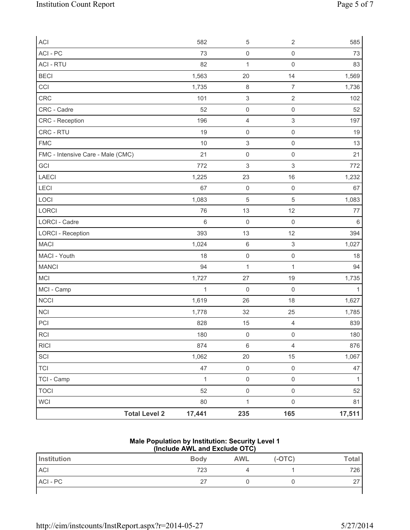| <b>ACI</b>                        | 582          | $\,$ 5 $\,$               | $\sqrt{2}$                | 585          |
|-----------------------------------|--------------|---------------------------|---------------------------|--------------|
| ACI - PC                          | 73           | $\mathsf{O}\xspace$       | $\mathsf{O}\xspace$       | 73           |
| <b>ACI - RTU</b>                  | 82           | $\mathbf{1}$              | $\mathsf{O}\xspace$       | 83           |
| <b>BECI</b>                       | 1,563        | 20                        | 14                        | 1,569        |
| CCI                               | 1,735        | $\,8\,$                   | $\overline{7}$            | 1,736        |
| CRC                               | 101          | $\ensuremath{\mathsf{3}}$ | $\sqrt{2}$                | 102          |
| CRC - Cadre                       | 52           | $\mathsf{O}\xspace$       | $\mathsf{O}\xspace$       | 52           |
| CRC - Reception                   | 196          | 4                         | $\ensuremath{\mathsf{3}}$ | 197          |
| CRC - RTU                         | 19           | $\mathsf{O}\xspace$       | $\mathsf 0$               | 19           |
| <b>FMC</b>                        | 10           | $\ensuremath{\mathsf{3}}$ | $\mathsf{O}\xspace$       | 13           |
| FMC - Intensive Care - Male (CMC) | 21           | $\mathsf{O}\xspace$       | $\mathsf{O}\xspace$       | 21           |
| GCI                               | 772          | $\,$ 3 $\,$               | $\ensuremath{\mathsf{3}}$ | 772          |
| LAECI                             | 1,225        | 23                        | 16                        | 1,232        |
| LECI                              | 67           | $\mathsf{O}\xspace$       | $\mathsf{O}\xspace$       | 67           |
| LOCI                              | 1,083        | 5                         | 5                         | 1,083        |
| LORCI                             | 76           | 13                        | 12                        | 77           |
| LORCI - Cadre                     | $\,6$        | $\mathsf{O}\xspace$       | $\mathbf 0$               | 6            |
| <b>LORCI - Reception</b>          | 393          | 13                        | 12                        | 394          |
| <b>MACI</b>                       | 1,024        | $\,6\,$                   | $\ensuremath{\mathsf{3}}$ | 1,027        |
| MACI - Youth                      | 18           | $\mathsf{O}\xspace$       | $\mathsf{O}\xspace$       | 18           |
| <b>MANCI</b>                      | 94           | $\mathbf 1$               | $\mathbf 1$               | 94           |
| MCI                               | 1,727        | 27                        | 19                        | 1,735        |
| MCI - Camp                        | $\mathbf{1}$ | $\mathsf{O}\xspace$       | $\mathbf 0$               | $\mathbf{1}$ |
| <b>NCCI</b>                       | 1,619        | 26                        | 18                        | 1,627        |
| <b>NCI</b>                        | 1,778        | 32                        | 25                        | 1,785        |
| PCI                               | 828          | 15                        | $\overline{4}$            | 839          |
| <b>RCI</b>                        | 180          | $\mathsf{O}\xspace$       | $\mathsf 0$               | 180          |
| <b>RICI</b>                       | 874          | $\,6\,$                   | $\overline{4}$            | 876          |
| SCI                               | 1,062        | 20                        | 15                        | 1,067        |
| <b>TCI</b>                        | 47           | $\mathsf{O}\xspace$       | $\mathsf{O}\xspace$       | 47           |
| TCI - Camp                        | $\mathbf{1}$ | $\mathsf{O}\xspace$       | $\mathsf 0$               | $\mathbf{1}$ |
| <b>TOCI</b>                       | 52           | $\mathsf{O}\xspace$       | $\mathsf{O}\xspace$       | 52           |
| <b>WCI</b>                        | 80           | $\mathbf{1}$              | $\mathsf{O}\xspace$       | 81           |
| <b>Total Level 2</b>              | 17,441       | 235                       | 165                       | 17,511       |

### **Male Population by Institution: Security Level 1 (Include AWL and Exclude OTC)**

| Institution | <b>Body</b> | <b>AWL</b> | $(-OTC)$ | Total       |
|-------------|-------------|------------|----------|-------------|
| <b>ACI</b>  | 723         |            |          | 726         |
| ACI - PC    | 27          |            |          | $\sim$<br>∼ |
|             |             |            |          |             |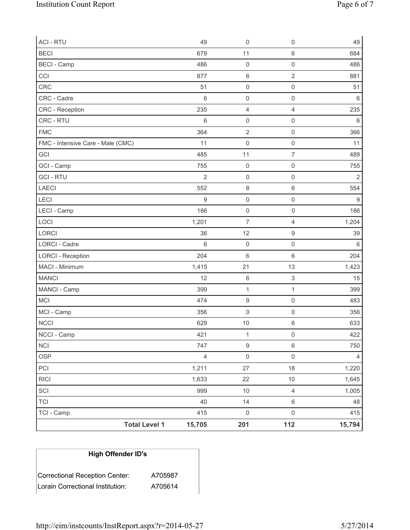| <b>ACI - RTU</b>                  | 49              | $\mathbf 0$             | $\mathsf{O}\xspace$       | 49               |
|-----------------------------------|-----------------|-------------------------|---------------------------|------------------|
| <b>BECI</b>                       | 679             | 11                      | 6                         | 684              |
| <b>BECI</b> - Camp                | 486             | $\mathsf{O}\xspace$     | $\mathsf 0$               | 486              |
| CCI                               | 877             | $\,6\,$                 | $\overline{2}$            | 881              |
| CRC                               | 51              | $\mathsf 0$             | $\mathsf 0$               | 51               |
| CRC - Cadre                       | $6\phantom{1}6$ | $\mathsf{O}\xspace$     | $\mathsf{O}\xspace$       | 6                |
| CRC - Reception                   | 235             | $\overline{\mathbf{4}}$ | $\overline{4}$            | 235              |
| CRC - RTU                         | $\,6$           | $\mathsf{O}\xspace$     | $\mathsf{O}\xspace$       | $\,6$            |
| <b>FMC</b>                        | 364             | $\overline{2}$          | $\mathsf{O}\xspace$       | 366              |
| FMC - Intensive Care - Male (CMC) | 11              | $\mathsf 0$             | $\mathsf{O}\xspace$       | 11               |
| GCI                               | 485             | 11                      | $\overline{\mathcal{I}}$  | 489              |
| GCI - Camp                        | 755             | $\mathsf{O}\xspace$     | $\mathsf{O}\xspace$       | 755              |
| <b>GCI-RTU</b>                    | $\overline{2}$  | $\mathsf{O}\xspace$     | $\mathbf 0$               | $\overline{2}$   |
| <b>LAECI</b>                      | 552             | $\,8\,$                 | 6                         | 554              |
| LECI                              | $\mathsf g$     | $\mathsf 0$             | $\mathsf 0$               | $\boldsymbol{9}$ |
| LECI - Camp                       | 186             | $\mathsf{O}\xspace$     | $\mathsf 0$               | 186              |
| LOCI                              | 1,201           | $\overline{7}$          | $\overline{4}$            | 1,204            |
| LORCI                             | 36              | 12                      | $\boldsymbol{9}$          | 39               |
| <b>LORCI - Cadre</b>              | 6               | $\mathsf{O}\xspace$     | $\mathsf 0$               | 6                |
| <b>LORCI - Reception</b>          | 204             | $\,6\,$                 | 6                         | 204              |
| MACI - Minimum                    | 1,415           | 21                      | 13                        | 1,423            |
| <b>MANCI</b>                      | 12              | $\,$ 6 $\,$             | $\ensuremath{\mathsf{3}}$ | 15               |
| MANCI - Camp                      | 399             | $\mathbf{1}$            | $\mathbf 1$               | 399              |
| MCI                               | 474             | $\boldsymbol{9}$        | $\mathsf 0$               | 483              |
| MCI - Camp                        | 356             | $\mathsf{O}\xspace$     | $\mathsf{O}\xspace$       | 356              |
| <b>NCCI</b>                       | 629             | 10                      | $\,6$                     | 633              |
| NCCI - Camp                       | 421             | $\mathbf{1}$            | 0                         | 422              |
| NCI                               | 747             | $\mathsf g$             | $\,6\,$                   | 750              |
| OSP                               | $\overline{4}$  | $\mathsf{O}\xspace$     | $\mathsf{O}\xspace$       | $\overline{4}$   |
| PCI                               | 1,211           | 27                      | 18                        | 1,220            |
| <b>RICI</b>                       | 1,633           | 22                      | $10$                      | 1,645            |
| SCI                               | 999             | $10$                    | $\overline{4}$            | 1,005            |
| <b>TCI</b>                        | 40              | 14                      | $\,6$                     | 48               |
| TCI - Camp                        | 415             | $\mathsf{O}\xspace$     | $\mathsf{O}\xspace$       | 415              |
| <b>Total Level 1</b>              | 15,705          | 201                     | 112                       | 15,794           |

# **High Offender ID's**

| Correctional Reception Center:   | A705987 |
|----------------------------------|---------|
| Lorain Correctional Institution: | A705614 |